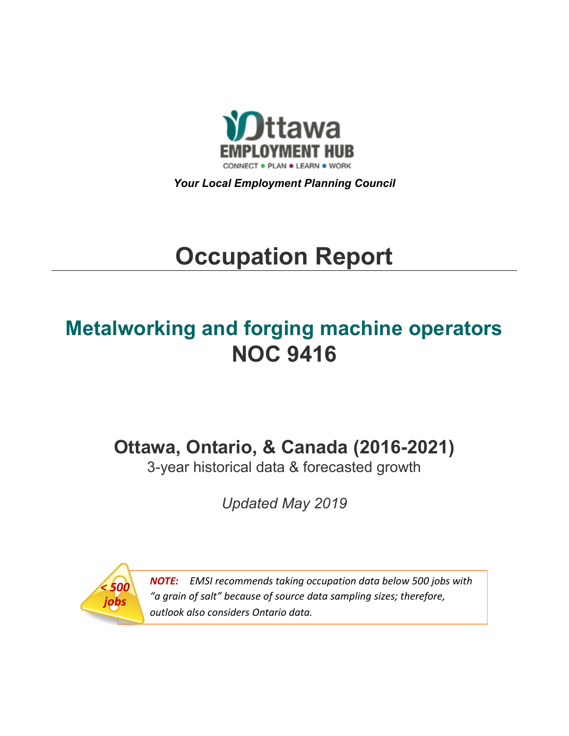

*Your Local Employment Planning Council*

# **Occupation Report**

## **Metalworking and forging machine operators NOC 9416**

**Ottawa, Ontario, & Canada (2016-2021)**

3-year historical data & forecasted growth

*Updated May 2019*



*NOTE: EMSI recommends taking occupation data below 500 jobs with "a grain of salt" because of source data sampling sizes; therefore, outlook also considers Ontario data.*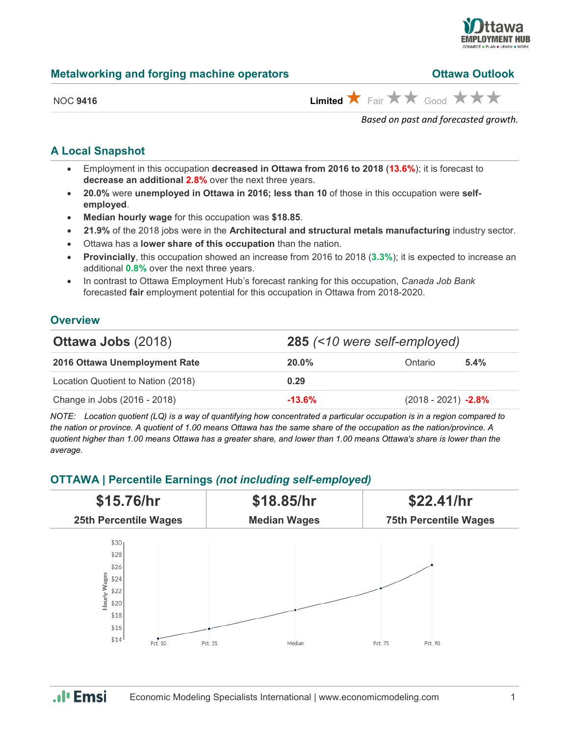

## **Metalworking and forging machine operators**

| <b>Ottawa Outlook</b> |
|-----------------------|
|                       |

NOC 9416 **Limited ★ Fair ★ ★ Good ★ ★ ★** 

*Based on past and forecasted growth.*

## **A Local Snapshot**

- Employment in this occupation **decreased in Ottawa from 2016 to 2018** (**13.6%**); it is forecast to **decrease an additional 2.8%** over the next three years.
- **20.0%** were **unemployed in Ottawa in 2016; less than 10** of those in this occupation were **selfemployed**.
- **Median hourly wage** for this occupation was **\$18.85**.
- **21.9%** of the 2018 jobs were in the **Architectural and structural metals manufacturing** industry sector.
- Ottawa has a **lower share of this occupation** than the nation.
- **Provincially**, this occupation showed an increase from 2016 to 2018 (**3.3%**); it is expected to increase an additional **0.8%** over the next three years.
- In contrast to Ottawa Employment Hub's forecast ranking for this occupation, *Canada Job Bank*  forecasted **fair** employment potential for this occupation in Ottawa from 2018-2020.

## **Overview**

| <b>Ottawa Jobs (2018)</b>          | 285 (<10 were self-employed) |                        |         |
|------------------------------------|------------------------------|------------------------|---------|
| 2016 Ottawa Unemployment Rate      | $20.0\%$                     | Ontario                | $5.4\%$ |
| Location Quotient to Nation (2018) | 0.29                         |                        |         |
| Change in Jobs (2016 - 2018)       | $-13.6\%$                    | $(2018 - 2021) -2.8\%$ |         |

*NOTE: Location quotient (LQ) is a way of quantifying how concentrated a particular occupation is in a region compared to the nation or province. A quotient of 1.00 means Ottawa has the same share of the occupation as the nation/province. A quotient higher than 1.00 means Ottawa has a greater share, and lower than 1.00 means Ottawa's share is lower than the average.*

## **OTTAWA | Percentile Earnings** *(not including self-employed)*



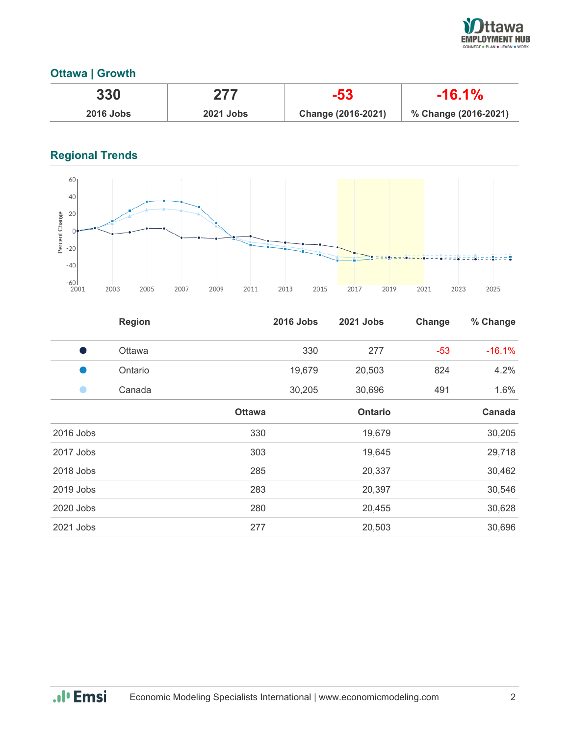

## **Ottawa | Growth**

| 330              | 277              | -53                | $-16.1\%$            |
|------------------|------------------|--------------------|----------------------|
| <b>2016 Jobs</b> | <b>2021 Jobs</b> | Change (2016-2021) | % Change (2016-2021) |

## **Regional Trends**



|           | <b>Region</b> |               | <b>2016 Jobs</b> | 2021 Jobs      | Change | % Change |
|-----------|---------------|---------------|------------------|----------------|--------|----------|
|           | Ottawa        |               | 330              | 277            | $-53$  | $-16.1%$ |
|           | Ontario       |               | 19,679           | 20,503         | 824    | 4.2%     |
|           | Canada        |               | 30,205           | 30,696         | 491    | 1.6%     |
|           |               | <b>Ottawa</b> |                  | <b>Ontario</b> |        | Canada   |
| 2016 Jobs |               | 330           |                  | 19,679         |        | 30,205   |
| 2017 Jobs |               | 303           |                  | 19,645         |        | 29,718   |
| 2018 Jobs |               | 285           |                  | 20,337         |        | 30,462   |
| 2019 Jobs |               | 283           |                  | 20,397         |        | 30,546   |
| 2020 Jobs |               | 280           |                  | 20,455         |        | 30,628   |
| 2021 Jobs |               | 277           |                  | 20,503         |        | 30,696   |

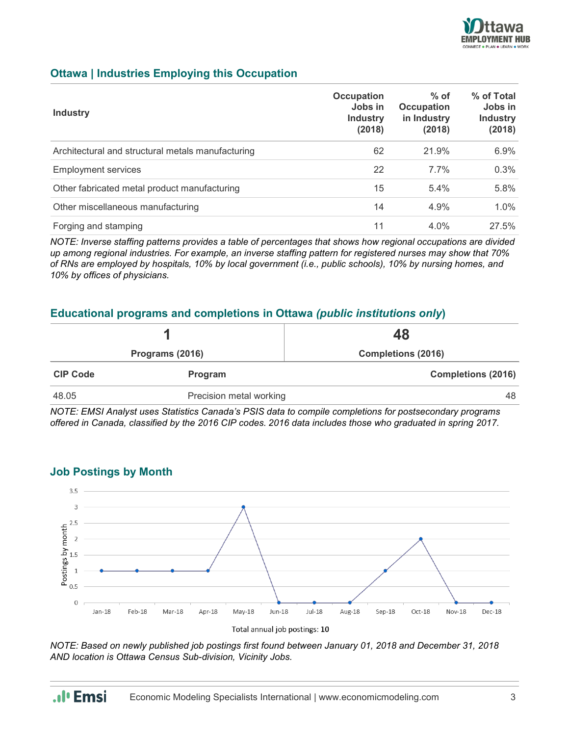

## **Ottawa | Industries Employing this Occupation**

| <b>Industry</b>                                   | <b>Occupation</b><br>Jobs in<br><b>Industry</b><br>(2018) | $%$ of<br><b>Occupation</b><br>in Industry<br>(2018) | % of Total<br>Jobs in<br><b>Industry</b><br>(2018) |
|---------------------------------------------------|-----------------------------------------------------------|------------------------------------------------------|----------------------------------------------------|
| Architectural and structural metals manufacturing | 62                                                        | 21.9%                                                | 6.9%                                               |
| <b>Employment services</b>                        | 22                                                        | $7.7\%$                                              | 0.3%                                               |
| Other fabricated metal product manufacturing      | 15                                                        | 5.4%                                                 | 5.8%                                               |
| Other miscellaneous manufacturing                 | 14                                                        | 4.9%                                                 | $1.0\%$                                            |
| Forging and stamping                              | 11                                                        | $4.0\%$                                              | 27.5%                                              |

*NOTE: Inverse staffing patterns provides a table of percentages that shows how regional occupations are divided up among regional industries. For example, an inverse staffing pattern for registered nurses may show that 70% of RNs are employed by hospitals, 10% by local government (i.e., public schools), 10% by nursing homes, and 10% by offices of physicians.*

## **Educational programs and completions in Ottawa** *(public institutions only***)**

| Programs (2016) |                         | 48<br><b>Completions (2016)</b> |  |
|-----------------|-------------------------|---------------------------------|--|
|                 |                         |                                 |  |
| 48.05           | Precision metal working | 48                              |  |

*NOTE: EMSI Analyst uses Statistics Canada's PSIS data to compile completions for postsecondary programs offered in Canada, classified by the 2016 CIP codes. 2016 data includes those who graduated in spring 2017.*



## **Job Postings by Month**

Total annual job postings: 10

*NOTE: Based on newly published job postings first found between January 01, 2018 and December 31, 2018 AND location is Ottawa Census Sub-division, Vicinity Jobs.*